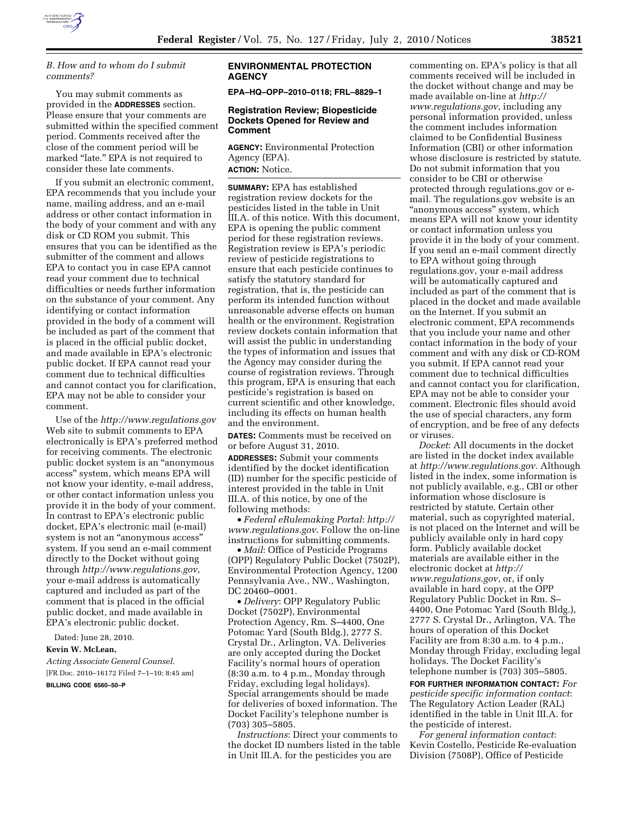

# *B. How and to whom do I submit comments?*

You may submit comments as provided in the **ADDRESSES** section. Please ensure that your comments are submitted within the specified comment period. Comments received after the close of the comment period will be marked "late." EPA is not required to consider these late comments.

If you submit an electronic comment, EPA recommends that you include your name, mailing address, and an e-mail address or other contact information in the body of your comment and with any disk or CD ROM you submit. This ensures that you can be identified as the submitter of the comment and allows EPA to contact you in case EPA cannot read your comment due to technical difficulties or needs further information on the substance of your comment. Any identifying or contact information provided in the body of a comment will be included as part of the comment that is placed in the official public docket, and made available in EPA's electronic public docket. If EPA cannot read your comment due to technical difficulties and cannot contact you for clarification, EPA may not be able to consider your comment.

Use of the *http://www.regulations.gov*  Web site to submit comments to EPA electronically is EPA's preferred method for receiving comments. The electronic public docket system is an ''anonymous access'' system, which means EPA will not know your identity, e-mail address, or other contact information unless you provide it in the body of your comment. In contrast to EPA's electronic public docket, EPA's electronic mail (e-mail) system is not an ''anonymous access'' system. If you send an e-mail comment directly to the Docket without going through *http://www.regulations.gov,*  your e-mail address is automatically captured and included as part of the comment that is placed in the official public docket, and made available in EPA's electronic public docket.

Dated: June 28, 2010.

# **Kevin W. McLean,**

*Acting Associate General Counsel.*  [FR Doc. 2010–16172 Filed 7–1–10; 8:45 am]

#### **BILLING CODE 6560–50–P**

### **ENVIRONMENTAL PROTECTION AGENCY**

**EPA–HQ–OPP–2010–0118; FRL–8829–1** 

### **Registration Review; Biopesticide Dockets Opened for Review and Comment**

**AGENCY:** Environmental Protection Agency (EPA). **ACTION:** Notice.

**SUMMARY:** EPA has established registration review dockets for the pesticides listed in the table in Unit III.A. of this notice. With this document, EPA is opening the public comment period for these registration reviews. Registration review is EPA's periodic review of pesticide registrations to ensure that each pesticide continues to satisfy the statutory standard for registration, that is, the pesticide can perform its intended function without unreasonable adverse effects on human health or the environment. Registration review dockets contain information that will assist the public in understanding the types of information and issues that the Agency may consider during the course of registration reviews. Through this program, EPA is ensuring that each pesticide's registration is based on current scientific and other knowledge, including its effects on human health and the environment.

**DATES:** Comments must be received on or before August 31, 2010.

**ADDRESSES:** Submit your comments identified by the docket identification (ID) number for the specific pesticide of interest provided in the table in Unit III.A. of this notice, by one of the following methods:

• *Federal eRulemaking Portal*: *http:// www.regulations.gov*. Follow the on-line instructions for submitting comments.

• *Mail*: Office of Pesticide Programs (OPP) Regulatory Public Docket (7502P), Environmental Protection Agency, 1200 Pennsylvania Ave., NW., Washington, DC 20460–0001.

• *Delivery*: OPP Regulatory Public Docket (7502P), Environmental Protection Agency, Rm. S–4400, One Potomac Yard (South Bldg.), 2777 S. Crystal Dr., Arlington, VA. Deliveries are only accepted during the Docket Facility's normal hours of operation (8:30 a.m. to 4 p.m., Monday through Friday, excluding legal holidays). Special arrangements should be made for deliveries of boxed information. The Docket Facility's telephone number is (703) 305–5805.

*Instructions*: Direct your comments to the docket ID numbers listed in the table in Unit III.A. for the pesticides you are

commenting on. EPA's policy is that all comments received will be included in the docket without change and may be made available on-line at *http:// www.regulations.gov*, including any personal information provided, unless the comment includes information claimed to be Confidential Business Information (CBI) or other information whose disclosure is restricted by statute. Do not submit information that you consider to be CBI or otherwise protected through regulations.gov or email. The regulations.gov website is an "anonymous access" system, which means EPA will not know your identity or contact information unless you provide it in the body of your comment. If you send an e-mail comment directly to EPA without going through regulations.gov, your e-mail address will be automatically captured and included as part of the comment that is placed in the docket and made available on the Internet. If you submit an electronic comment, EPA recommends that you include your name and other contact information in the body of your comment and with any disk or CD-ROM you submit. If EPA cannot read your comment due to technical difficulties and cannot contact you for clarification, EPA may not be able to consider your comment. Electronic files should avoid the use of special characters, any form of encryption, and be free of any defects or viruses.

*Docket*: All documents in the docket are listed in the docket index available at *http://www.regulations.gov*. Although listed in the index, some information is not publicly available, e.g., CBI or other information whose disclosure is restricted by statute. Certain other material, such as copyrighted material, is not placed on the Internet and will be publicly available only in hard copy form. Publicly available docket materials are available either in the electronic docket at *http:// www.regulations.gov*, or, if only available in hard copy, at the OPP Regulatory Public Docket in Rm. S– 4400, One Potomac Yard (South Bldg.), 2777 S. Crystal Dr., Arlington, VA. The hours of operation of this Docket Facility are from 8:30 a.m. to 4 p.m., Monday through Friday, excluding legal holidays. The Docket Facility's telephone number is (703) 305–5805.

**FOR FURTHER INFORMATION CONTACT:** *For pesticide specific information contact*: The Regulatory Action Leader (RAL) identified in the table in Unit III.A. for the pesticide of interest.

*For general information contact*: Kevin Costello, Pesticide Re-evaluation Division (7508P), Office of Pesticide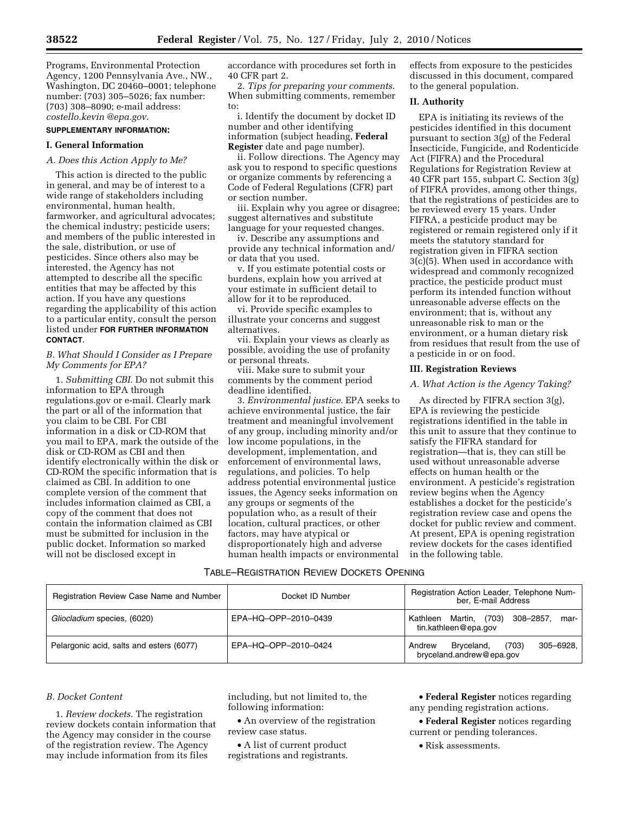Programs, Environmental Protection Agency, 1200 Pennsylvania Ave., NW., Washington, DC 20460–0001; telephone number: (703) 305–5026; fax number: (703) 308–8090; e-mail address: *costello.kevin @epa.gov*.

# **SUPPLEMENTARY INFORMATION:**

#### **I. General Information**

#### *A. Does this Action Apply to Me?*

This action is directed to the public in general, and may be of interest to a wide range of stakeholders including environmental, human health, farmworker, and agricultural advocates; the chemical industry; pesticide users; and members of the public interested in the sale, distribution, or use of pesticides. Since others also may be interested, the Agency has not attempted to describe all the specific entities that may be affected by this action. If you have any questions regarding the applicability of this action to a particular entity, consult the person listed under **FOR FURTHER INFORMATION CONTACT**.

#### *B. What Should I Consider as I Prepare My Comments for EPA?*

1. *Submitting CBI*. Do not submit this information to EPA through regulations.gov or e-mail. Clearly mark the part or all of the information that you claim to be CBI. For CBI information in a disk or CD-ROM that you mail to EPA, mark the outside of the disk or CD-ROM as CBI and then identify electronically within the disk or CD-ROM the specific information that is claimed as CBI. In addition to one complete version of the comment that includes information claimed as CBI, a copy of the comment that does not contain the information claimed as CBI must be submitted for inclusion in the public docket. Information so marked will not be disclosed except in

accordance with procedures set forth in 40 CFR part 2.

2. *Tips for preparing your comments*. When submitting comments, remember to:

i. Identify the document by docket ID number and other identifying information (subject heading, **Federal Register** date and page number).

ii. Follow directions. The Agency may ask you to respond to specific questions or organize comments by referencing a Code of Federal Regulations (CFR) part or section number.

iii. Explain why you agree or disagree; suggest alternatives and substitute language for your requested changes.

iv. Describe any assumptions and provide any technical information and/ or data that you used.

v. If you estimate potential costs or burdens, explain how you arrived at your estimate in sufficient detail to allow for it to be reproduced.

vi. Provide specific examples to illustrate your concerns and suggest alternatives.

vii. Explain your views as clearly as possible, avoiding the use of profanity or personal threats.

viii. Make sure to submit your comments by the comment period deadline identified.

3. *Environmental justice*. EPA seeks to achieve environmental justice, the fair treatment and meaningful involvement of any group, including minority and/or low income populations, in the development, implementation, and enforcement of environmental laws, regulations, and policies. To help address potential environmental justice issues, the Agency seeks information on any groups or segments of the population who, as a result of their location, cultural practices, or other factors, may have atypical or disproportionately high and adverse human health impacts or environmental effects from exposure to the pesticides discussed in this document, compared to the general population.

### **II. Authority**

EPA is initiating its reviews of the pesticides identified in this document pursuant to section 3(g) of the Federal Insecticide, Fungicide, and Rodenticide Act (FIFRA) and the Procedural Regulations for Registration Review at 40 CFR part 155, subpart C. Section 3(g) of FIFRA provides, among other things, that the registrations of pesticides are to be reviewed every 15 years. Under FIFRA, a pesticide product may be registered or remain registered only if it meets the statutory standard for registration given in FIFRA section 3(c)(5). When used in accordance with widespread and commonly recognized practice, the pesticide product must perform its intended function without unreasonable adverse effects on the environment; that is, without any unreasonable risk to man or the environment, or a human dietary risk from residues that result from the use of a pesticide in or on food.

#### **III. Registration Reviews**

#### *A. What Action is the Agency Taking?*

As directed by FIFRA section 3(g), EPA is reviewing the pesticide registrations identified in the table in this unit to assure that they continue to satisfy the FIFRA standard for registration—that is, they can still be used without unreasonable adverse effects on human health or the environment. A pesticide's registration review begins when the Agency establishes a docket for the pesticide's registration review case and opens the docket for public review and comment. At present, EPA is opening registration review dockets for the cases identified in the following table.

### TABLE–REGISTRATION REVIEW DOCKETS OPENING

| Registration Review Case Name and Number | Docket ID Number     | Registration Action Leader, Telephone Num-<br>ber, E-mail Address      |
|------------------------------------------|----------------------|------------------------------------------------------------------------|
| Gliocladium species, (6020)              | EPA-HQ-OPP-2010-0439 | Kathleen Martin, (703)<br>308–2857,<br>mar-<br>tin.kathleen@epa.gov    |
| Pelargonic acid, salts and esters (6077) | EPA-HQ-OPP-2010-0424 | (703)<br>305-6928.<br>Bryceland,<br>Andrew<br>bryceland.andrew@epa.gov |

### *B. Docket Content*

1. *Review dockets*. The registration review dockets contain information that the Agency may consider in the course of the registration review. The Agency may include information from its files

including, but not limited to, the following information:

• An overview of the registration review case status.

• A list of current product registrations and registrants.

• **Federal Register** notices regarding any pending registration actions.

• **Federal Register** notices regarding current or pending tolerances.

• Risk assessments.